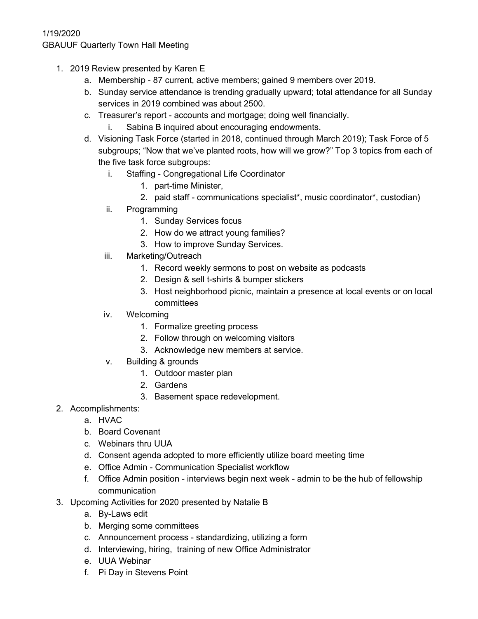GBAUUF Quarterly Town Hall Meeting

- 1. 2019 Review presented by Karen E
	- a. Membership 87 current, active members; gained 9 members over 2019.
	- b. Sunday service attendance is trending gradually upward; total attendance for all Sunday services in 2019 combined was about 2500.
	- c. Treasurer's report accounts and mortgage; doing well financially.
		- i. Sabina B inquired about encouraging endowments.
	- d. Visioning Task Force (started in 2018, continued through March 2019); Task Force of 5 subgroups; "Now that we've planted roots, how will we grow?" Top 3 topics from each of the five task force subgroups:
		- i. Staffing Congregational Life Coordinator
			- 1. part-time Minister,
			- 2. paid staff communications specialist\*, music coordinator\*, custodian)
		- ii. Programming
			- 1. Sunday Services focus
			- 2. How do we attract young families?
			- 3. How to improve Sunday Services.
		- iii. Marketing/Outreach
			- 1. Record weekly sermons to post on website as podcasts
			- 2. Design & sell t-shirts & bumper stickers
			- 3. Host neighborhood picnic, maintain a presence at local events or on local committees
		- iv. Welcoming
			- 1. Formalize greeting process
			- 2. Follow through on welcoming visitors
			- 3. Acknowledge new members at service.
		- v. Building & grounds
			- 1. Outdoor master plan
			- 2. Gardens
			- 3. Basement space redevelopment.
- 2. Accomplishments:
	- a. HVAC
	- b. Board Covenant
	- c. Webinars thru UUA
	- d. Consent agenda adopted to more efficiently utilize board meeting time
	- e. Office Admin Communication Specialist workflow
	- f. Office Admin position interviews begin next week admin to be the hub of fellowship communication
- 3. Upcoming Activities for 2020 presented by Natalie B
	- a. By-Laws edit
	- b. Merging some committees
	- c. Announcement process standardizing, utilizing a form
	- d. Interviewing, hiring, training of new Office Administrator
	- e. UUA Webinar
	- f. Pi Day in Stevens Point